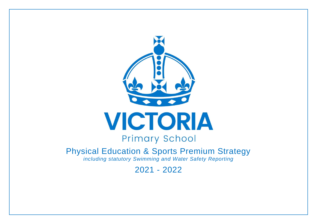

# Physical Education & Sports Premium Strategy *including statutory Swimming and Water Safety Reporting*

2021 - 2022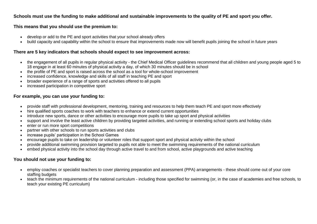## **Schools must use the funding to make additional and sustainable improvements to the quality of PE and sport you offer.**

#### **This means that you should use the premium to:**

- develop or add to the PE and sport activities that your school already offers
- build capacity and capability within the school to ensure that improvements made now will benefit pupils joining the school in future years

#### **There are 5 key indicators that schools should expect to see improvement across:**

- the engagement of all pupils in regular physical activity the Chief Medical Officer guidelines recommend that all children and young people aged 5 to 18 engage in at least 60 minutes of physical activity a day, of which 30 minutes should be in school
- the profile of PE and sport is raised across the school as a tool for whole-school improvement
- increased confidence, knowledge and skills of all staff in teaching PE and sport
- broader experience of a range of sports and activities offered to all pupils
- increased participation in competitive sport

### **For example, you can use your funding to:**

- provide staff with professional development, mentoring, training and resources to help them teach PE and sport more effectively
- hire qualified sports coaches to work with teachers to enhance or extend current opportunities
- introduce new sports, dance or other activities to encourage more pupils to take up sport and physical activities
- support and involve the least active children by providing targeted activities, and running or extending school sports and holiday clubs
- enter or run more sport competitions
- partner with other schools to run sports activities and clubs
- increase pupils' participation in the School Games
- encourage pupils to take on leadership or volunteer roles that support sport and physical activity within the school
- provide additional swimming provision targeted to pupils not able to meet the swimming requirements of the national curriculum
- embed physical activity into the school day through active travel to and from school, active playgrounds and active teaching

## **You should not use your funding to:**

- employ coaches or specialist teachers to cover planning preparation and assessment (PPA) arrangements these should come out of your core staffing budgets
- teach the minimum requirements of the national curriculum including those specified for swimming (or, in the case of academies and free schools, to teach your existing PE curriculum)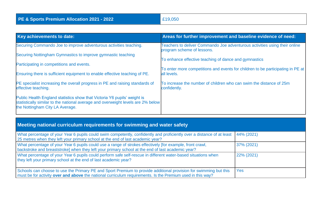| Key achievements to date:                                                                                                                                                                       | Areas for further improvement and baseline evidence of need:                                             |
|-------------------------------------------------------------------------------------------------------------------------------------------------------------------------------------------------|----------------------------------------------------------------------------------------------------------|
| Securing Commando Joe to improve adventurous activities teaching.                                                                                                                               | Teachers to deliver Commando Joe adventurous activities using their online<br>program scheme of lessons. |
| Securing Nottingham Gymnastics to improve gymnastic teaching                                                                                                                                    |                                                                                                          |
|                                                                                                                                                                                                 | To enhance effective teaching of dance and gymnastics                                                    |
| Participating in competitions and events.                                                                                                                                                       |                                                                                                          |
| Ensuring there is sufficient equipment to enable effective teaching of PE.                                                                                                                      | To enter more competitions and events for children to be participating in PE at<br>all levels.           |
| PE specialist increasing the overall progress in PE and raising standards of<br>effective teaching.                                                                                             | To increase the number of children who can swim the distance of 25m<br>confidently.                      |
| Public Health England statistics show that Victoria Y6 pupils' weight is<br>statistically similar to the national average and overweight levels are 2% below<br>the Nottingham City LA Average. |                                                                                                          |

| Meeting national curriculum requirements for swimming and water safety                                                                                                                                                         |            |  |  |  |  |
|--------------------------------------------------------------------------------------------------------------------------------------------------------------------------------------------------------------------------------|------------|--|--|--|--|
| What percentage of your Year 6 pupils could swim competently, confidently and proficiently over a distance of at least<br>25 metres when they left your primary school at the end of last academic year?                       | 44% (2021) |  |  |  |  |
| What percentage of your Year 6 pupils could use a range of strokes effectively [for example, front crawl,<br>backstroke and breaststroke] when they left your primary school at the end of last academic year?                 | 37% (2021) |  |  |  |  |
| What percentage of your Year 6 pupils could perform safe self-rescue in different water-based situations when<br>they left your primary school at the end of last academic year?                                               | 22% (2021) |  |  |  |  |
| Schools can choose to use the Primary PE and Sport Premium to provide additional provision for swimming but this<br>must be for activity over and above the national curriculum requirements. Is the Premium used in this way? | <b>Yes</b> |  |  |  |  |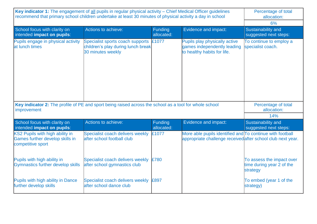| Key indicator 1: The engagement of all pupils in regular physical activity - Chief Medical Officer guidelines<br>recommend that primary school children undertake at least 30 minutes of physical activity a day in school | Percentage of total<br>allocation:                                                          |                              |                                                                                                                          |                                                                    |
|----------------------------------------------------------------------------------------------------------------------------------------------------------------------------------------------------------------------------|---------------------------------------------------------------------------------------------|------------------------------|--------------------------------------------------------------------------------------------------------------------------|--------------------------------------------------------------------|
|                                                                                                                                                                                                                            | 6%                                                                                          |                              |                                                                                                                          |                                                                    |
| School focus with clarity on<br>intended impact on pupils:                                                                                                                                                                 | Actions to achieve:                                                                         | <b>Funding</b><br>allocated: | Evidence and impact:                                                                                                     | Sustainability and<br>suggested next steps:                        |
| Pupils engage in physical activity<br>at lunch times                                                                                                                                                                       | Specialist sports coach supports<br>children's play during lunch break<br>30 minutes weekly | £1077                        | Pupils play physically active<br>games independently leading<br>to healthy habits for life.                              | To continue to employ a<br>specialist coach.                       |
| Key indicator 2: The profile of PE and sport being raised across the school as a tool for whole school<br>improvement                                                                                                      | Percentage of total<br>allocation:                                                          |                              |                                                                                                                          |                                                                    |
|                                                                                                                                                                                                                            |                                                                                             |                              |                                                                                                                          | 14%                                                                |
| School focus with clarity on<br>intended impact on pupils:                                                                                                                                                                 | Actions to achieve:                                                                         | <b>Funding</b><br>allocated: | Evidence and impact:                                                                                                     | Sustainability and<br>suggested next steps:                        |
| <b>KS2 Pupils with high ability in</b><br><b>Games further develop skills in</b><br>competitive sport                                                                                                                      | Specialist coach delivers weekly<br>after school football club                              | £1077                        | More able pupils identified and To continue with football<br>appropriate challenge received after school club next year. |                                                                    |
| Pupils with high ability in<br><b>Gymnastics further develop skills</b>                                                                                                                                                    | Specialist coach delivers weekly<br>after school gymnastics club                            | £780                         |                                                                                                                          | To assess the impact over<br>time during year 2 of the<br>strategy |
| Pupils with high ability in Dance<br>further develop skills                                                                                                                                                                | Specialist coach delivers weekly<br>after school dance club                                 | £897                         |                                                                                                                          | To embed (year 1 of the<br>strategy)                               |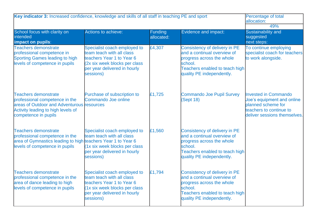| Key indicator 3: Increased confidence, knowledge and skills of all staff in teaching PE and sport                                                                         |                                                                                                                                                                      |                       |                                                                                                                                                                     | Percentage of total<br>allocation:<br>49%                                                                                                  |
|---------------------------------------------------------------------------------------------------------------------------------------------------------------------------|----------------------------------------------------------------------------------------------------------------------------------------------------------------------|-----------------------|---------------------------------------------------------------------------------------------------------------------------------------------------------------------|--------------------------------------------------------------------------------------------------------------------------------------------|
| School focus with clarity on<br>intended<br>impact on pupils:                                                                                                             | Actions to achieve:                                                                                                                                                  | Funding<br>allocated: | Evidence and impact:                                                                                                                                                | <b>Sustainability and</b><br>suggested<br>next steps:                                                                                      |
| <b>Teachers demonstrate</b><br>professional competence in<br><b>Sporting Games leading to high</b><br>levels of competence in pupils                                      | Specialist coach employed to<br>team teach with all class<br>teachers Year 1 to Year 6<br>(2x six week blocks per class<br>per year delivered in hourly<br>sessions) | £4,307                | Consistency of delivery in PE<br>and a continual overview of<br>progress across the whole<br>school.<br>Teachers enabled to teach high<br>quality PE independently. | To continue employing<br>specialist coach for teachers<br>to work alongside.                                                               |
| <b>Teachers demonstrate</b><br>professional competence in the<br>areas of Outdoor and Adventurous resources<br>Activity leading to high levels of<br>competence in pupils | Purchase of subscription to<br>Commando Joe online                                                                                                                   | £1,725                | <b>Commando Joe Pupil Survey</b><br>(Sept 18)                                                                                                                       | <b>Invested in Commando</b><br>Joe's equipment and online<br>planned scheme for<br>teachers to continue to<br>deliver sessions themselves. |
| <b>Teachers demonstrate</b><br>professional competence in the<br>area of Gymnastics leading to high teachers Year 1 to Year 6<br>levels of competence in pupils           | Specialist coach employed to<br>team teach with all class<br>(1x six week blocks per class<br>per year delivered in hourly<br>sessions)                              | £1,560                | Consistency of delivery in PE<br>and a continual overview of<br>progress across the whole<br>school.<br>Teachers enabled to teach high<br>quality PE independently. |                                                                                                                                            |
| <b>Teachers demonstrate</b><br>professional competence in the<br>area of dance leading to high<br>levels of competence in pupils                                          | Specialist coach employed to<br>team teach with all class<br>teachers Year 1 to Year 6<br>(1x six week blocks per class<br>per year delivered in hourly<br>sessions) | £1,794                | Consistency of delivery in PE<br>and a continual overview of<br>progress across the whole<br>school.<br>Teachers enabled to teach high<br>quality PE independently. |                                                                                                                                            |